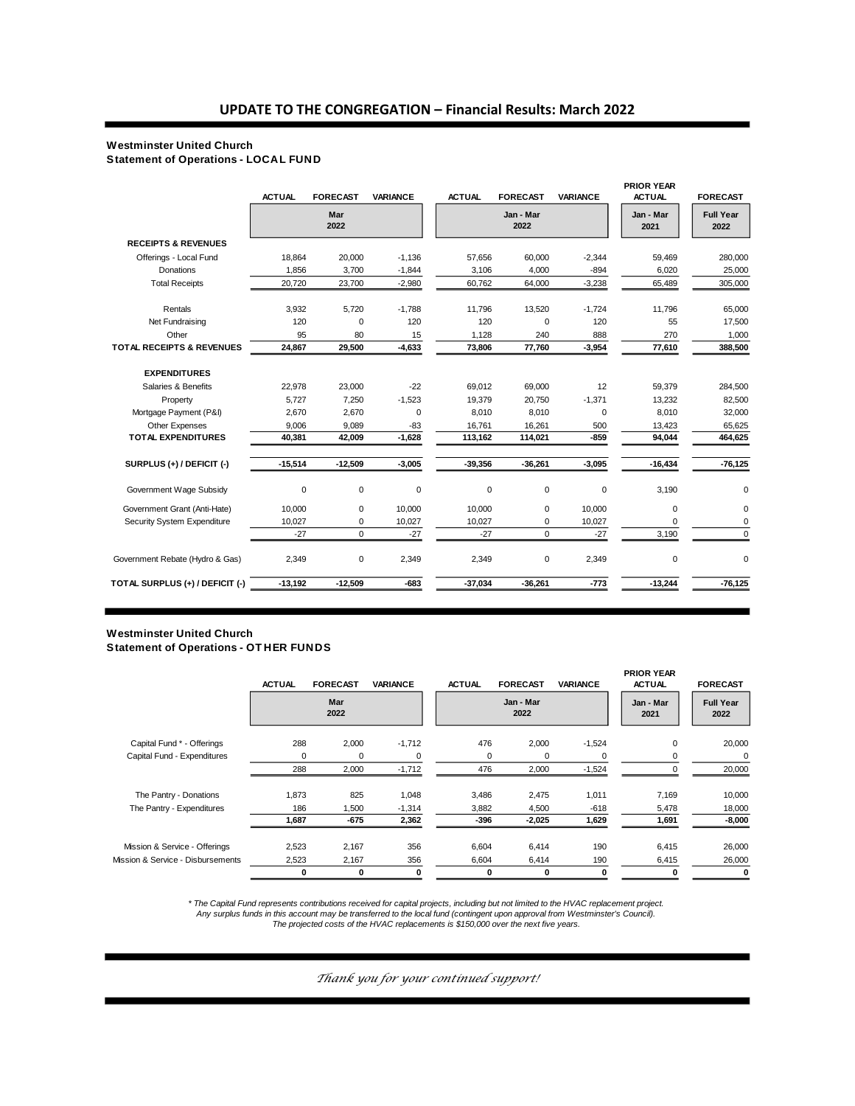**PRIOR YEAR** 

#### **Westminster United Church**

**Statement of Operations - LOCAL FUND**

|                                 | <b>ACTUAL</b> | <b>FORECAST</b> | <b>VARIANCE</b> | <b>ACTUAL</b> | <b>FORECAST</b>   | <b>VARIANCE</b> | <b>PRIOR YEAR</b><br><b>ACTUAL</b> | <b>FORECAST</b>          |
|---------------------------------|---------------|-----------------|-----------------|---------------|-------------------|-----------------|------------------------------------|--------------------------|
|                                 |               | Mar<br>2022     |                 |               | Jan - Mar<br>2022 |                 | Jan - Mar<br>2021                  | <b>Full Year</b><br>2022 |
| <b>RECEIPTS &amp; REVENUES</b>  |               |                 |                 |               |                   |                 |                                    |                          |
| Offerings - Local Fund          | 18,864        | 20,000          | $-1,136$        | 57,656        | 60,000            | $-2,344$        | 59,469                             | 280,000                  |
| Donations                       | 1.856         | 3.700           | $-1,844$        | 3,106         | 4.000             | $-894$          | 6,020                              | 25,000                   |
| <b>Total Receipts</b>           | 20,720        | 23,700          | $-2,980$        | 60,762        | 64,000            | $-3,238$        | 65,489                             | 305,000                  |
| Rentals                         | 3.932         | 5.720           | $-1,788$        | 11,796        | 13.520            | $-1.724$        | 11,796                             | 65,000                   |
| Net Fundraising                 | 120           | $\mathbf 0$     | 120             | 120           | $\mathbf 0$       | 120             | 55                                 | 17,500                   |
| Other                           | 95            | 80              | 15              | 1,128         | 240               | 888             | 270                                | 1,000                    |
| TOTAL RECEIPTS & REVENUES       | 24,867        | 29,500          | $-4,633$        | 73,806        | 77,760            | $-3,954$        | 77,610                             | 388,500                  |
| <b>EXPENDITURES</b>             |               |                 |                 |               |                   |                 |                                    |                          |
| Salaries & Benefits             | 22,978        | 23,000          | $-22$           | 69,012        | 69,000            | 12              | 59,379                             | 284,500                  |
| Property                        | 5,727         | 7,250           | $-1,523$        | 19,379        | 20,750            | $-1,371$        | 13,232                             | 82,500                   |
| Mortgage Payment (P&I)          | 2.670         | 2,670           | $\mathbf 0$     | 8.010         | 8.010             | 0               | 8,010                              | 32,000                   |
| Other Expenses                  | 9,006         | 9,089           | -83             | 16,761        | 16,261            | 500             | 13,423                             | 65,625                   |
| <b>TOTAL EXPENDITURES</b>       | 40,381        | 42,009          | $-1,628$        | 113,162       | 114,021           | $-859$          | 94,044                             | 464,625                  |
| SURPLUS (+) / DEFICIT (-)       | $-15,514$     | $-12,509$       | $-3,005$        | $-39,356$     | $-36,261$         | $-3,095$        | $-16,434$                          | $-76, 125$               |
| Government Wage Subsidy         | $\mathbf 0$   | 0               | $\mathbf 0$     | 0             | $\mathbf 0$       | $\mathbf 0$     | 3,190                              | 0                        |
| Government Grant (Anti-Hate)    | 10,000        | 0               | 10,000          | 10,000        | 0                 | 10,000          | 0                                  | $\mathbf 0$              |
| Security System Expenditure     | 10,027        | 0               | 10,027          | 10,027        | 0                 | 10,027          | $\Omega$                           | 0                        |
|                                 | $-27$         | $\Omega$        | $-27$           | $-27$         | $\mathbf 0$       | $-27$           | 3,190                              | $\mathbf 0$              |
| Government Rebate (Hydro & Gas) | 2,349         | 0               | 2,349           | 2,349         | 0                 | 2,349           | 0                                  | $\mathbf 0$              |
| TOTAL SURPLUS (+) / DEFICIT (-) | $-13,192$     | $-12.509$       | $-683$          | $-37,034$     | $-36,261$         | $-773$          | $-13,244$                          | $-76, 125$               |

#### **Westminster United Church Statement of Operations - OT HER FUNDS**

|                                   | <b>ACTUAL</b> | <b>FORECAST</b> | <b>VARIANCE</b> | <b>ACTUAL</b> | <b>FORECAST</b>   | <b>VARIANCE</b> | <b>PRIOR YEAR</b><br><b>ACTUAL</b> | <b>FORECAST</b>          |
|-----------------------------------|---------------|-----------------|-----------------|---------------|-------------------|-----------------|------------------------------------|--------------------------|
|                                   |               | Mar<br>2022     |                 |               | Jan - Mar<br>2022 |                 | Jan - Mar<br>2021                  | <b>Full Year</b><br>2022 |
| Capital Fund * - Offerings        | 288           | 2,000           | $-1,712$        | 476           | 2,000             | $-1,524$        | $\mathbf 0$                        | 20,000                   |
| Capital Fund - Expenditures       | 0             | 0               | 0               | 0             | 0                 | 0               | 0                                  | 0                        |
|                                   | 288           | 2,000           | $-1,712$        | 476           | 2,000             | $-1,524$        |                                    | 20,000                   |
| The Pantry - Donations            | 1,873         | 825             | 1,048           | 3,486         | 2,475             | 1,011           | 7,169                              | 10,000                   |
| The Pantry - Expenditures         | 186           | 1.500           | $-1,314$        | 3,882         | 4,500             | $-618$          | 5,478                              | 18,000                   |
|                                   | 1,687         | -675            | 2,362           | -396          | $-2,025$          | 1,629           | 1,691                              | $-8,000$                 |
| Mission & Service - Offerings     | 2,523         | 2,167           | 356             | 6,604         | 6,414             | 190             | 6,415                              | 26,000                   |
| Mission & Service - Disbursements | 2,523         | 2,167           | 356             | 6,604         | 6,414             | 190             | 6,415                              | 26,000                   |
|                                   | 0             | 0               | 0               | 0             | 0                 | 0               | 0                                  | 0                        |

*\* The Capital Fund represents contributions received for capital projects, including but not limited to the HVAC replacement project. Any surplus funds in this account may be transferred to the local fund (contingent upon approval from Westminster's Council).* 

*The projected costs of the HVAC replacements is \$150,000 over the next five years.*

*Thank you for your continued support!*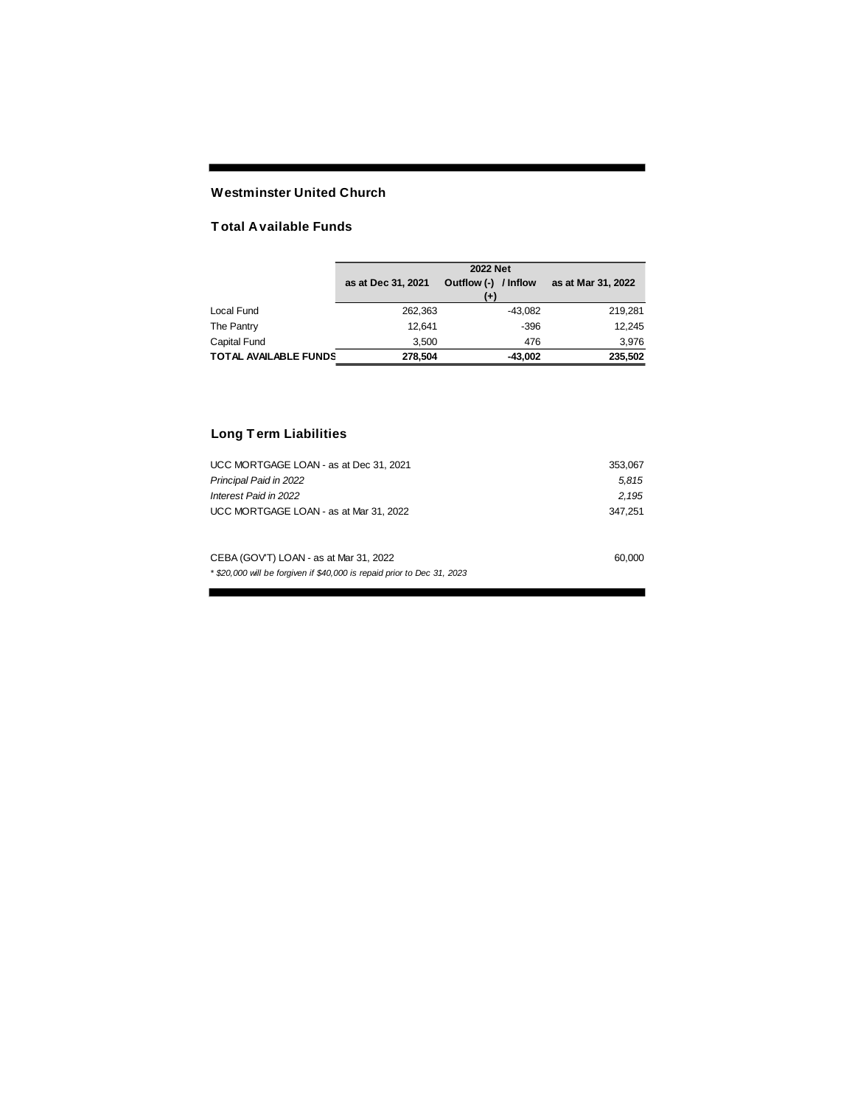## **Westminster United Church**

### **T otal Available Funds**

|                       | <b>2022 Net</b>    |                                  |                    |  |  |
|-----------------------|--------------------|----------------------------------|--------------------|--|--|
|                       | as at Dec 31, 2021 | Outflow (-) / Inflow<br>$^{(+)}$ | as at Mar 31, 2022 |  |  |
| Local Fund            | 262.363            | $-43.082$                        | 219.281            |  |  |
| The Pantry            | 12.641             | $-396$                           | 12.245             |  |  |
| Capital Fund          | 3.500              | 476                              | 3,976              |  |  |
| TOTAL AVAILABLE FUNDS | 278.504            | $-43.002$                        | 235.502            |  |  |

# **Long T erm Liabilities**

| UCC MORTGAGE LOAN - as at Dec 31, 2021                                  | 353,067 |
|-------------------------------------------------------------------------|---------|
| Principal Paid in 2022                                                  | 5.815   |
| Interest Paid in 2022                                                   | 2.195   |
| UCC MORTGAGE LOAN - as at Mar 31, 2022                                  | 347.251 |
|                                                                         |         |
| CEBA (GOV'T) LOAN - as at Mar 31, 2022                                  | 60,000  |
| * \$20,000 will be forgiven if \$40,000 is repaid prior to Dec 31, 2023 |         |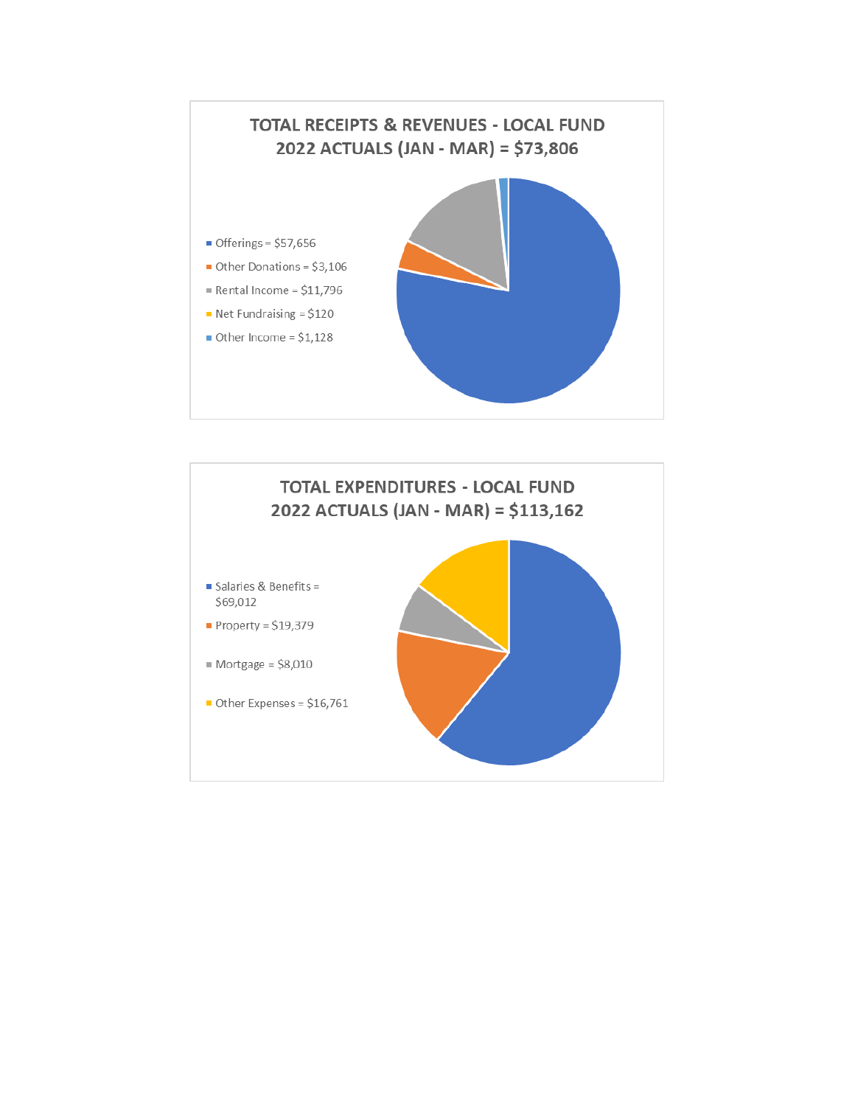